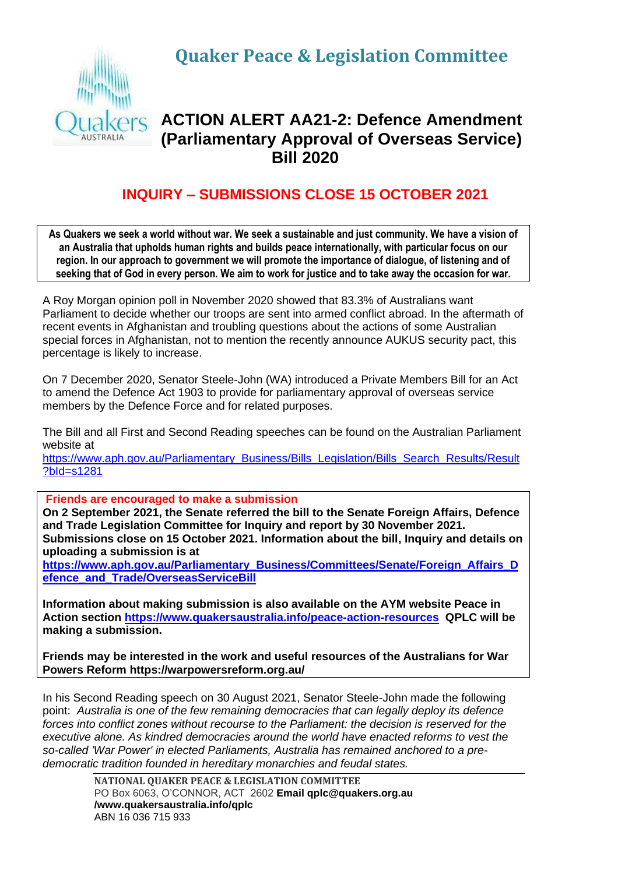**Quaker Peace & Legislation Committee**



## **ACTION ALERT AA21-2: Defence Amendment (Parliamentary Approval of Overseas Service) Bill 2020**

## **INQUIRY – SUBMISSIONS CLOSE 15 OCTOBER 2021**

**As Quakers we seek a world without war. We seek a sustainable and just community. We have a vision of an Australia that upholds human rights and builds peace internationally, with particular focus on our region. In our approach to government we will promote the importance of dialogue, of listening and of seeking that of God in every person. We aim to work for justice and to take away the occasion for war.**

A Roy Morgan opinion poll in November 2020 showed that 83.3% of Australians want Parliament to decide whether our troops are sent into armed conflict abroad. In the aftermath of recent events in Afghanistan and troubling questions about the actions of some Australian special forces in Afghanistan, not to mention the recently announce AUKUS security pact, this percentage is likely to increase.

On 7 December 2020, Senator Steele-John (WA) introduced a Private Members Bill for an Act to amend the Defence Act 1903 to provide for parliamentary approval of overseas service members by the Defence Force and for related purposes.

The Bill and all First and Second Reading speeches can be found on the Australian Parliament website at

[https://www.aph.gov.au/Parliamentary\\_Business/Bills\\_Legislation/Bills\\_Search\\_Results/Result](https://www.aph.gov.au/Parliamentary_Business/Bills_Legislation/Bills_Search_Results/Result?bId=s1281) [?bId=s1281](https://www.aph.gov.au/Parliamentary_Business/Bills_Legislation/Bills_Search_Results/Result?bId=s1281)

**Friends are encouraged to make a submission**

**On 2 September 2021, the Senate referred the bill to the Senate Foreign Affairs, Defence and Trade Legislation Committee for Inquiry and report by 30 November 2021. Submissions close on 15 October 2021. Information about the bill, Inquiry and details on uploading a submission is at** 

**[https://www.aph.gov.au/Parliamentary\\_Business/Committees/Senate/Foreign\\_Affairs\\_D](https://www.aph.gov.au/Parliamentary_Business/Committees/Senate/Foreign_Affairs_Defence_and_Trade/OverseasServiceBill) [efence\\_and\\_Trade/OverseasServiceBill](https://www.aph.gov.au/Parliamentary_Business/Committees/Senate/Foreign_Affairs_Defence_and_Trade/OverseasServiceBill)**

**Information about making submission is also available on the AYM website Peace in Action section<https://www.quakersaustralia.info/peace-action-resources>QPLC will be making a submission.**

**Friends may be interested in the work and useful resources of the Australians for War Powers Reform https://warpowersreform.org.au/**

In his Second Reading speech on 30 August 2021, Senator Steele-John made the following point: *Australia is one of the few remaining democracies that can legally deploy its defence forces into conflict zones without recourse to the Parliament: the decision is reserved for the executive alone. As kindred democracies around the world have enacted reforms to vest the so-called 'War Power' in elected Parliaments, Australia has remained anchored to a predemocratic tradition founded in hereditary monarchies and feudal states.*

> **NATIONAL QUAKER PEACE & LEGISLATION COMMITTEE** PO Box 6063, O'CONNOR, ACT 2602 **Email qplc@quakers.org.au /www.quakersaustralia.info/qplc** ABN 16 036 715 933